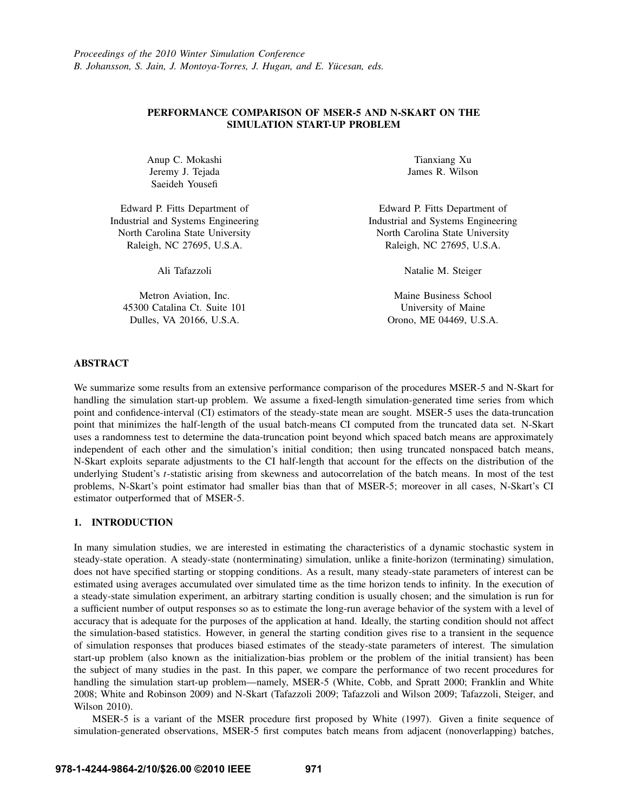# PERFORMANCE COMPARISON OF MSER-5 AND N-SKART ON THE SIMULATION START-UP PROBLEM

Anup C. Mokashi Jeremy J. Tejada Saeideh Yousefi

Edward P. Fitts Department of Industrial and Systems Engineering North Carolina State University Raleigh, NC 27695, U.S.A.

Ali Tafazzoli

Metron Aviation, Inc. 45300 Catalina Ct. Suite 101 Dulles, VA 20166, U.S.A.

Tianxiang Xu James R. Wilson

Edward P. Fitts Department of Industrial and Systems Engineering North Carolina State University Raleigh, NC 27695, U.S.A.

Natalie M. Steiger

Maine Business School University of Maine Orono, ME 04469, U.S.A.

## ABSTRACT

We summarize some results from an extensive performance comparison of the procedures MSER-5 and N-Skart for handling the simulation start-up problem. We assume a fixed-length simulation-generated time series from which point and confidence-interval (CI) estimators of the steady-state mean are sought. MSER-5 uses the data-truncation point that minimizes the half-length of the usual batch-means CI computed from the truncated data set. N-Skart uses a randomness test to determine the data-truncation point beyond which spaced batch means are approximately independent of each other and the simulation's initial condition; then using truncated nonspaced batch means, N-Skart exploits separate adjustments to the CI half-length that account for the effects on the distribution of the underlying Student's *t*-statistic arising from skewness and autocorrelation of the batch means. In most of the test problems, N-Skart's point estimator had smaller bias than that of MSER-5; moreover in all cases, N-Skart's CI estimator outperformed that of MSER-5.

## 1. INTRODUCTION

In many simulation studies, we are interested in estimating the characteristics of a dynamic stochastic system in steady-state operation. A steady-state (nonterminating) simulation, unlike a finite-horizon (terminating) simulation, does not have specified starting or stopping conditions. As a result, many steady-state parameters of interest can be estimated using averages accumulated over simulated time as the time horizon tends to infinity. In the execution of a steady-state simulation experiment, an arbitrary starting condition is usually chosen; and the simulation is run for a sufficient number of output responses so as to estimate the long-run average behavior of the system with a level of accuracy that is adequate for the purposes of the application at hand. Ideally, the starting condition should not affect the simulation-based statistics. However, in general the starting condition gives rise to a transient in the sequence of simulation responses that produces biased estimates of the steady-state parameters of interest. The simulation start-up problem (also known as the initialization-bias problem or the problem of the initial transient) has been the subject of many studies in the past. In this paper, we compare the performance of two recent procedures for handling the simulation start-up problem—namely, MSER-5 (White, Cobb, and Spratt 2000; Franklin and White 2008; White and Robinson 2009) and N-Skart (Tafazzoli 2009; Tafazzoli and Wilson 2009; Tafazzoli, Steiger, and Wilson 2010).

MSER-5 is a variant of the MSER procedure first proposed by White (1997). Given a finite sequence of simulation-generated observations, MSER-5 first computes batch means from adjacent (nonoverlapping) batches,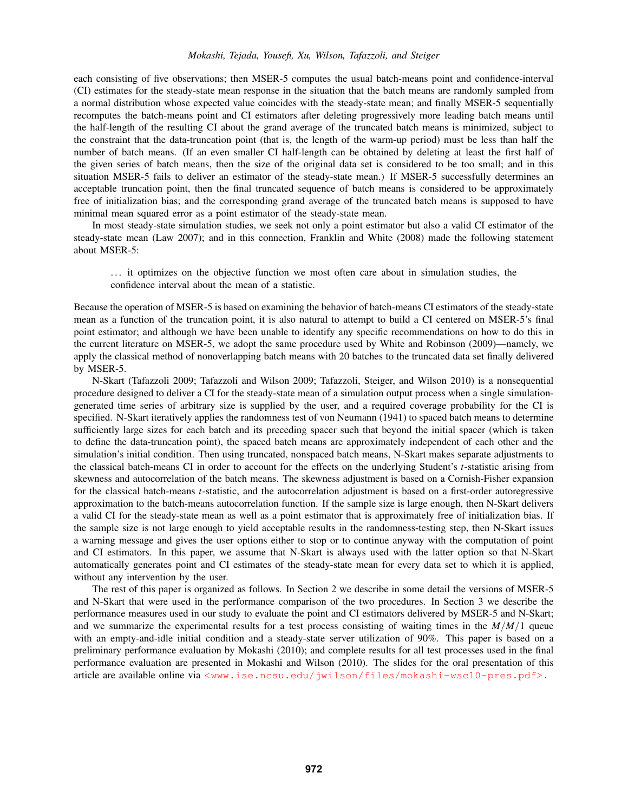## *Mokashi, Tejada, Yousefi, Xu, Wilson, Tafazzoli, and Steiger*

each consisting of five observations; then MSER-5 computes the usual batch-means point and confidence-interval (CI) estimates for the steady-state mean response in the situation that the batch means are randomly sampled from a normal distribution whose expected value coincides with the steady-state mean; and finally MSER-5 sequentially recomputes the batch-means point and CI estimators after deleting progressively more leading batch means until the half-length of the resulting CI about the grand average of the truncated batch means is minimized, subject to the constraint that the data-truncation point (that is, the length of the warm-up period) must be less than half the number of batch means. (If an even smaller CI half-length can be obtained by deleting at least the first half of the given series of batch means, then the size of the original data set is considered to be too small; and in this situation MSER-5 fails to deliver an estimator of the steady-state mean.) If MSER-5 successfully determines an acceptable truncation point, then the final truncated sequence of batch means is considered to be approximately free of initialization bias; and the corresponding grand average of the truncated batch means is supposed to have minimal mean squared error as a point estimator of the steady-state mean.

In most steady-state simulation studies, we seek not only a point estimator but also a valid CI estimator of the steady-state mean (Law 2007); and in this connection, Franklin and White (2008) made the following statement about MSER-5:

. . . it optimizes on the objective function we most often care about in simulation studies, the confidence interval about the mean of a statistic.

Because the operation of MSER-5 is based on examining the behavior of batch-means CI estimators of the steady-state mean as a function of the truncation point, it is also natural to attempt to build a CI centered on MSER-5's final point estimator; and although we have been unable to identify any specific recommendations on how to do this in the current literature on MSER-5, we adopt the same procedure used by White and Robinson (2009)—namely, we apply the classical method of nonoverlapping batch means with 20 batches to the truncated data set finally delivered by MSER-5.

N-Skart (Tafazzoli 2009; Tafazzoli and Wilson 2009; Tafazzoli, Steiger, and Wilson 2010) is a nonsequential procedure designed to deliver a CI for the steady-state mean of a simulation output process when a single simulationgenerated time series of arbitrary size is supplied by the user, and a required coverage probability for the CI is specified. N-Skart iteratively applies the randomness test of von Neumann (1941) to spaced batch means to determine sufficiently large sizes for each batch and its preceding spacer such that beyond the initial spacer (which is taken to define the data-truncation point), the spaced batch means are approximately independent of each other and the simulation's initial condition. Then using truncated, nonspaced batch means, N-Skart makes separate adjustments to the classical batch-means CI in order to account for the effects on the underlying Student's *t*-statistic arising from skewness and autocorrelation of the batch means. The skewness adjustment is based on a Cornish-Fisher expansion for the classical batch-means *t*-statistic, and the autocorrelation adjustment is based on a first-order autoregressive approximation to the batch-means autocorrelation function. If the sample size is large enough, then N-Skart delivers a valid CI for the steady-state mean as well as a point estimator that is approximately free of initialization bias. If the sample size is not large enough to yield acceptable results in the randomness-testing step, then N-Skart issues a warning message and gives the user options either to stop or to continue anyway with the computation of point and CI estimators. In this paper, we assume that N-Skart is always used with the latter option so that N-Skart automatically generates point and CI estimates of the steady-state mean for every data set to which it is applied, without any intervention by the user.

The rest of this paper is organized as follows. In Section 2 we describe in some detail the versions of MSER-5 and N-Skart that were used in the performance comparison of the two procedures. In Section 3 we describe the performance measures used in our study to evaluate the point and CI estimators delivered by MSER-5 and N-Skart; and we summarize the experimental results for a test process consisting of waiting times in the *M*/*M*/1 queue with an empty-and-idle initial condition and a steady-state server utilization of 90%. This paper is based on a preliminary performance evaluation by Mokashi (2010); and complete results for all test processes used in the final performance evaluation are presented in Mokashi and Wilson (2010). The slides for the oral presentation of this article are available online via <www.ise.ncsu.edu/jwilson/files/mokashi-wsc10-pres.pdf>.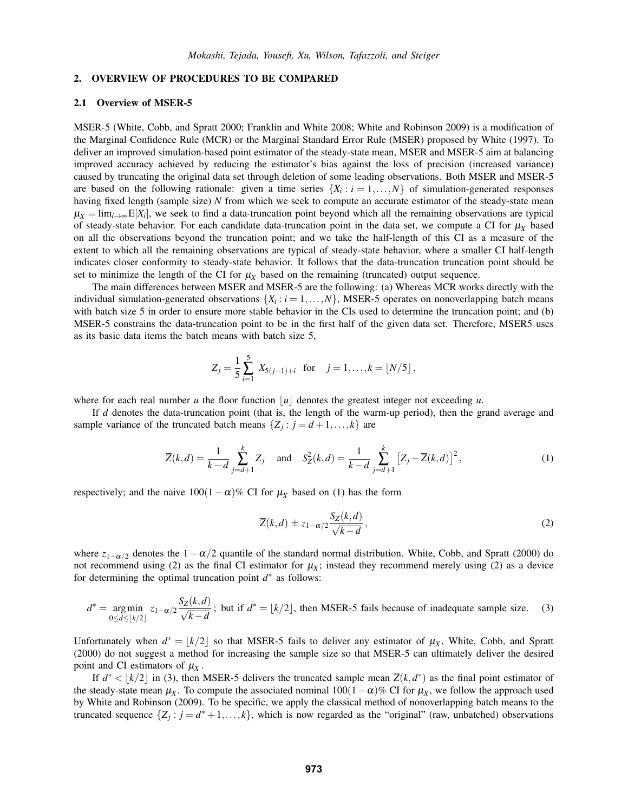## 2. OVERVIEW OF PROCEDURES TO BE COMPARED

## 2.1 Overview of MSER-5

MSER-5 (White, Cobb, and Spratt 2000; Franklin and White 2008; White and Robinson 2009) is a modification of the Marginal Confidence Rule (MCR) or the Marginal Standard Error Rule (MSER) proposed by White (1997). To deliver an improved simulation-based point estimator of the steady-state mean, MSER and MSER-5 aim at balancing improved accuracy achieved by reducing the estimator's bias against the loss of precision (increased variance) caused by truncating the original data set through deletion of some leading observations. Both MSER and MSER-5 are based on the following rationale: given a time series  $\{X_i : i = 1, \ldots, N\}$  of simulation-generated responses having fixed length (sample size) *N* from which we seek to compute an accurate estimator of the steady-state mean  $\mu_X = \lim_{i \to \infty} E[X_i]$ , we seek to find a data-truncation point beyond which all the remaining observations are typical of steady-state behavior. For each candidate data-truncation point in the data set, we compute a CI for  $\mu_X$  based on all the observations beyond the truncation point; and we take the half-length of this CI as a measure of the extent to which all the remaining observations are typical of steady-state behavior, where a smaller CI half-length indicates closer conformity to steady-state behavior. It follows that the data-truncation truncation point should be set to minimize the length of the CI for  $\mu_X$  based on the remaining (truncated) output sequence.

The main differences between MSER and MSER-5 are the following: (a) Whereas MCR works directly with the individual simulation-generated observations  $\{X_i : i = 1, \ldots, N\}$ , MSER-5 operates on nonoverlapping batch means with batch size 5 in order to ensure more stable behavior in the CIs used to determine the truncation point; and (b) MSER-5 constrains the data-truncation point to be in the first half of the given data set. Therefore, MSER5 uses as its basic data items the batch means with batch size 5,

$$
Z_j = \frac{1}{5} \sum_{i=1}^{5} X_{5(j-1)+i} \text{ for } j = 1, ..., k = \lfloor N/5 \rfloor,
$$

where for each real number *u* the floor function  $|u|$  denotes the greatest integer not exceeding *u*.

If *d* denotes the data-truncation point (that is, the length of the warm-up period), then the grand average and sample variance of the truncated batch means  $\{Z_j : j = d+1, \ldots, k\}$  are

$$
\overline{Z}(k,d) = \frac{1}{k-d} \sum_{j=d+1}^{k} Z_j \quad \text{and} \quad S_Z^2(k,d) = \frac{1}{k-d} \sum_{j=d+1}^{k} \left[ Z_j - \overline{Z}(k,d) \right]^2,\tag{1}
$$

respectively; and the naive  $100(1-\alpha)\%$  CI for  $\mu_X$  based on (1) has the form

$$
\overline{Z}(k,d) \pm z_{1-\alpha/2} \frac{S_Z(k,d)}{\sqrt{k-d}},
$$
\n(2)

where  $z_{1-\alpha/2}$  denotes the  $1-\alpha/2$  quantile of the standard normal distribution. White, Cobb, and Spratt (2000) do not recommend using (2) as the final CI estimator for  $\mu_X$ ; instead they recommend merely using (2) as a device for determining the optimal truncation point *d*<sup>∗</sup> as follows:

$$
d^* = \underset{0 \le d \le \lfloor k/2 \rfloor}{\arg \min} \ z_{1-\alpha/2} \frac{S_Z(k, d)}{\sqrt{k - d}}
$$
; but if  $d^* = \lfloor k/2 \rfloor$ , then MSE-5 fails because of inadequate sample size. (3)

Unfortunately when  $d^* = |k/2|$  so that MSER-5 fails to deliver any estimator of  $\mu_X$ , White, Cobb, and Spratt (2000) do not suggest a method for increasing the sample size so that MSER-5 can ultimately deliver the desired point and CI estimators of  $\mu_X$ .

If  $d^* < |k/2|$  in (3), then MSER-5 delivers the truncated sample mean  $\overline{Z}(k, d^*)$  as the final point estimator of the steady-state mean  $\mu_X$ . To compute the associated nominal 100(1 –  $\alpha$ )% CI for  $\mu_X$ , we follow the approach used by White and Robinson (2009). To be specific, we apply the classical method of nonoverlapping batch means to the truncated sequence  $\{Z_j : j = d^* + 1, \ldots, k\}$ , which is now regarded as the "original" (raw, unbatched) observations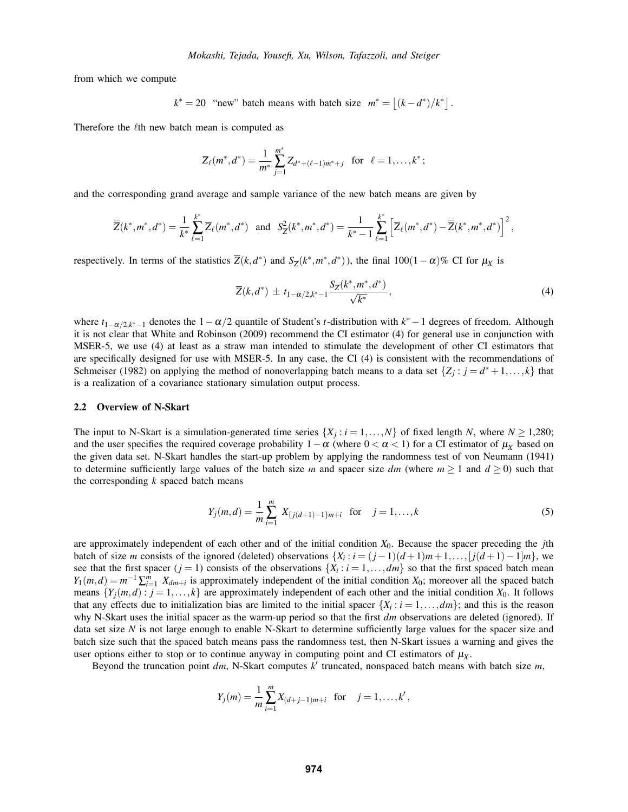from which we compute

$$
k^* = 20
$$
 "new" batch means with batch size  $m^* = |(k - d^*)/k^*|$ .

Therefore the  $\ell$ th new batch mean is computed as

$$
\overline{Z}_{\ell}(m^*,d^*) = \frac{1}{m^*} \sum_{j=1}^{m^*} Z_{d^* + (\ell-1)m^*+j} \text{ for } \ell = 1,\ldots,k^*;
$$

and the corresponding grand average and sample variance of the new batch means are given by

$$
\overline{\overline{Z}}(k^*,m^*,d^*) = \frac{1}{k^*} \sum_{\ell=1}^{k^*} \overline{Z}_{\ell}(m^*,d^*) \text{ and } S_{\overline{Z}}^2(k^*,m^*,d^*) = \frac{1}{k^*-1} \sum_{\ell=1}^{k^*} \left[ \overline{Z}_{\ell}(m^*,d^*) - \overline{\overline{Z}}(k^*,m^*,d^*) \right]^2,
$$

respectively. In terms of the statistics  $\overline{Z}(k, d^*)$  and  $S_{\overline{Z}}(k^*, m^*, d^*)$ , the final 100(1−α)% CI for  $\mu_X$  is

$$
\overline{Z}(k, d^*) \pm t_{1-\alpha/2, k^*-1} \frac{S_{\overline{Z}}(k^*, m^*, d^*)}{\sqrt{k^*}}, \tag{4}
$$

where  $t_{1-\alpha/2,k^*-1}$  denotes the  $1-\alpha/2$  quantile of Student's *t*-distribution with  $k^* - 1$  degrees of freedom. Although it is not clear that White and Robinson (2009) recommend the CI estimator (4) for general use in conjunction with MSER-5, we use (4) at least as a straw man intended to stimulate the development of other CI estimators that are specifically designed for use with MSER-5. In any case, the CI (4) is consistent with the recommendations of Schmeiser (1982) on applying the method of nonoverlapping batch means to a data set  $\{Z_i : j = d^* + 1, \ldots, k\}$  that is a realization of a covariance stationary simulation output process.

## 2.2 Overview of N-Skart

The input to N-Skart is a simulation-generated time series  $\{X_i : i = 1, ..., N\}$  of fixed length *N*, where  $N \ge 1,280$ ; and the user specifies the required coverage probability  $1-\alpha$  (where  $0 < \alpha < 1$ ) for a CI estimator of  $\mu_X$  based on the given data set. N-Skart handles the start-up problem by applying the randomness test of von Neumann (1941) to determine sufficiently large values of the batch size *m* and spacer size *dm* (where  $m \ge 1$  and  $d \ge 0$ ) such that the corresponding *k* spaced batch means

$$
Y_j(m,d) = \frac{1}{m} \sum_{i=1}^{m} X_{\{j(d+1)-1\}m+i} \text{ for } j = 1,\dots,k
$$
 (5)

are approximately independent of each other and of the initial condition *X*0. Because the spacer preceding the *j*th batch of size *m* consists of the ignored (deleted) observations  $\{X_i : i = (j-1)(d+1)m+1, \ldots, [j(d+1)-1]m\}$ , we see that the first spacer ( $j = 1$ ) consists of the observations  $\{X_i : i = 1, \ldots, dm\}$  so that the first spaced batch mean  $Y_1(m,d) = m^{-1} \sum_{i=1}^m X_{dm+i}$  is approximately independent of the initial condition  $X_0$ ; moreover all the spaced batch means  ${Y_j(m,d): j = 1,\ldots,k}$  are approximately independent of each other and the initial condition  $X_0$ . It follows that any effects due to initialization bias are limited to the initial spacer  $\{X_i : i = 1, \ldots, dm\}$ ; and this is the reason why N-Skart uses the initial spacer as the warm-up period so that the first *dm* observations are deleted (ignored). If data set size *N* is not large enough to enable N-Skart to determine sufficiently large values for the spacer size and batch size such that the spaced batch means pass the randomness test, then N-Skart issues a warning and gives the user options either to stop or to continue anyway in computing point and CI estimators of  $\mu_X$ .

Beyond the truncation point  $dm$ , N-Skart computes  $k'$  truncated, nonspaced batch means with batch size  $m$ ,

$$
Y_j(m) = \frac{1}{m} \sum_{i=1}^m X_{(d+j-1)m+i}
$$
 for  $j = 1, ..., k'$ ,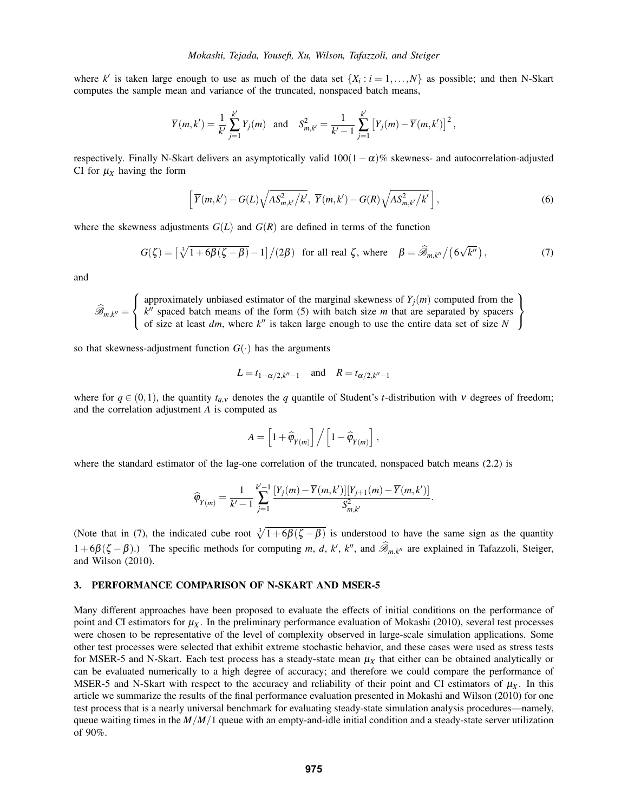where *k'* is taken large enough to use as much of the data set  $\{X_i : i = 1, \ldots, N\}$  as possible; and then N-Skart computes the sample mean and variance of the truncated, nonspaced batch means,

$$
\overline{Y}(m,k') = \frac{1}{k'} \sum_{j=1}^{k'} Y_j(m)
$$
 and  $S_{m,k'}^2 = \frac{1}{k'-1} \sum_{j=1}^{k'} [Y_j(m) - \overline{Y}(m,k')]^2$ ,

respectively. Finally N-Skart delivers an asymptotically valid  $100(1-\alpha)\%$  skewness- and autocorrelation-adjusted CI for  $\mu_X$  having the form

$$
\left[\overline{Y}(m,k')-G(L)\sqrt{AS_{m,k'}^2/k'},\ \overline{Y}(m,k')-G(R)\sqrt{AS_{m,k'}^2/k'}\right],\tag{6}
$$

where the skewness adjustments  $G(L)$  and  $G(R)$  are defined in terms of the function

$$
G(\zeta) = \left[\sqrt[3]{1+6\beta(\zeta-\beta)}-1\right]/(2\beta) \text{ for all real } \zeta, \text{ where } \beta = \widehat{\mathscr{B}}_{m,k''}/(6\sqrt{k''}), \qquad (7)
$$

and

 $\mathscr{B}_{m,k^{\prime\prime}}=% {\textstyle\iint} \frac{1}{2\pi\epsilon}e^{i\omega t}e^{i\omega t}$  $\sqrt{ }$ J  $\mathcal{L}$ approximately unbiased estimator of the marginal skewness of  $Y_j(m)$  computed from the  $k$ <sup>0</sup> spaced batch means of the form (5) with batch size  $m$  that are separated by spacers of size at least *dm*, where *k*<sup>*n*</sup> is taken large enough to use the entire data set of size *N*  $\mathcal{L}$  $\mathcal{L}$ J

so that skewness-adjustment function  $G(\cdot)$  has the arguments

$$
L = t_{1-\alpha/2,k''-1}
$$
 and  $R = t_{\alpha/2,k''-1}$ 

where for  $q \in (0,1)$ , the quantity  $t_{q,v}$  denotes the *q* quantile of Student's *t*-distribution with *v* degrees of freedom; and the correlation adjustment *A* is computed as

$$
A = \left[1 + \widehat{\varphi}_{Y(m)}\right] / \left[1 - \widehat{\varphi}_{Y(m)}\right],
$$

where the standard estimator of the lag-one correlation of the truncated, nonspaced batch means (2.2) is

$$
\widehat{\varphi}_{Y(m)} = \frac{1}{k'-1} \sum_{j=1}^{k'-1} \frac{[Y_j(m)-\overline{Y}(m,k')][Y_{j+1}(m)-\overline{Y}(m,k')] }{S^2_{m,k'}}.
$$

(Note that in (7), the indicated cube root  $\sqrt[3]{1+6\beta(\zeta-\beta)}$  is understood to have the same sign as the quantity 1+6β(ζ − β).) The specific methods for computing *m*, *d*, *k'*, *k''*, and  $\widehat{\mathscr{B}}_{m,k''}$  are explained in Tafazzoli, Steiger, and Wilson (2010).

## 3. PERFORMANCE COMPARISON OF N-SKART AND MSER-5

Many different approaches have been proposed to evaluate the effects of initial conditions on the performance of point and CI estimators for  $\mu_X$ . In the preliminary performance evaluation of Mokashi (2010), several test processes were chosen to be representative of the level of complexity observed in large-scale simulation applications. Some other test processes were selected that exhibit extreme stochastic behavior, and these cases were used as stress tests for MSER-5 and N-Skart. Each test process has a steady-state mean  $\mu_X$  that either can be obtained analytically or can be evaluated numerically to a high degree of accuracy; and therefore we could compare the performance of MSER-5 and N-Skart with respect to the accuracy and reliability of their point and CI estimators of  $\mu_X$ . In this article we summarize the results of the final performance evaluation presented in Mokashi and Wilson (2010) for one test process that is a nearly universal benchmark for evaluating steady-state simulation analysis procedures—namely, queue waiting times in the *M*/*M*/1 queue with an empty-and-idle initial condition and a steady-state server utilization of 90%.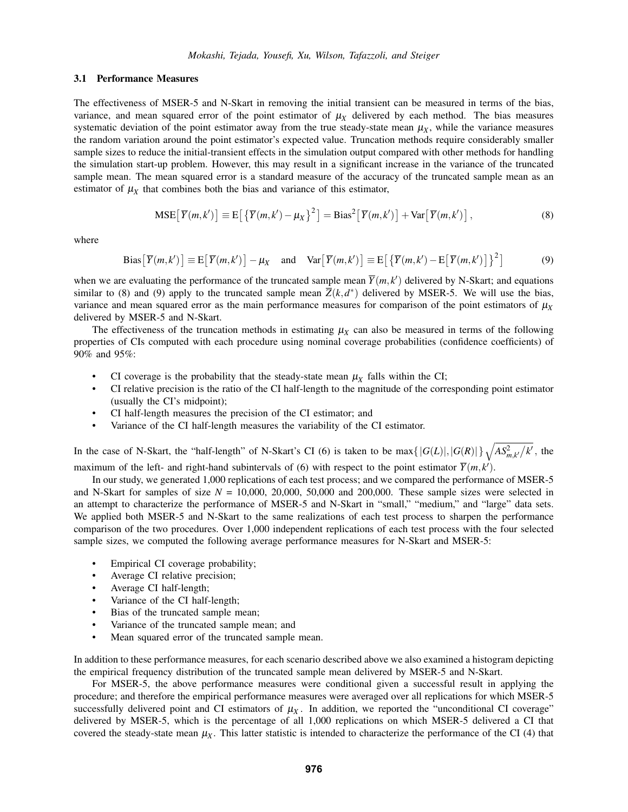#### 3.1 Performance Measures

The effectiveness of MSER-5 and N-Skart in removing the initial transient can be measured in terms of the bias, variance, and mean squared error of the point estimator of  $\mu_X$  delivered by each method. The bias measures systematic deviation of the point estimator away from the true steady-state mean  $\mu_X$ , while the variance measures the random variation around the point estimator's expected value. Truncation methods require considerably smaller sample sizes to reduce the initial-transient effects in the simulation output compared with other methods for handling the simulation start-up problem. However, this may result in a significant increase in the variance of the truncated sample mean. The mean squared error is a standard measure of the accuracy of the truncated sample mean as an estimator of  $\mu_X$  that combines both the bias and variance of this estimator,

$$
MSE\big[\overline{Y}(m,k')\big] \equiv E\big[\left\{\overline{Y}(m,k') - \mu_X\right\}^2\big] = Bias^2\big[\overline{Y}(m,k')\big] + Var\big[\overline{Y}(m,k')\big],\tag{8}
$$

where

Bias
$$
[\overline{Y}(m,k')] \equiv E[\overline{Y}(m,k')] - \mu_X
$$
 and Var $[\overline{Y}(m,k')] \equiv E[\{\overline{Y}(m,k') - E[\overline{Y}(m,k')] \}^2]$  (9)

when we are evaluating the performance of the truncated sample mean  $\overline{Y}(m, k')$  delivered by N-Skart; and equations similar to (8) and (9) apply to the truncated sample mean  $\overline{Z}(k, d^*)$  delivered by MSER-5. We will use the bias, variance and mean squared error as the main performance measures for comparison of the point estimators of  $\mu_X$ delivered by MSER-5 and N-Skart.

The effectiveness of the truncation methods in estimating  $\mu_X$  can also be measured in terms of the following properties of CIs computed with each procedure using nominal coverage probabilities (confidence coefficients) of 90% and 95%:

- CI coverage is the probability that the steady-state mean  $\mu_X$  falls within the CI;
- CI relative precision is the ratio of the CI half-length to the magnitude of the corresponding point estimator (usually the CI's midpoint);
- CI half-length measures the precision of the CI estimator; and
- Variance of the CI half-length measures the variability of the CI estimator.

In the case of N-Skart, the "half-length" of N-Skart's CI (6) is taken to be  $\max\{|G(L)|, |G(R)|\}\sqrt{AS_{m,k'}^2/k'}$ , the maximum of the left- and right-hand subintervals of (6) with respect to the point estimator  $\overline{Y}(m, k')$ .

In our study, we generated 1,000 replications of each test process; and we compared the performance of MSER-5 and N-Skart for samples of size  $N = 10,000, 20,000, 50,000$  and 200,000. These sample sizes were selected in an attempt to characterize the performance of MSER-5 and N-Skart in "small," "medium," and "large" data sets. We applied both MSER-5 and N-Skart to the same realizations of each test process to sharpen the performance comparison of the two procedures. Over 1,000 independent replications of each test process with the four selected sample sizes, we computed the following average performance measures for N-Skart and MSER-5:

- Empirical CI coverage probability;
- Average CI relative precision;
- Average CI half-length;
- Variance of the CI half-length;
- Bias of the truncated sample mean;
- Variance of the truncated sample mean; and
- Mean squared error of the truncated sample mean.

In addition to these performance measures, for each scenario described above we also examined a histogram depicting the empirical frequency distribution of the truncated sample mean delivered by MSER-5 and N-Skart.

For MSER-5, the above performance measures were conditional given a successful result in applying the procedure; and therefore the empirical performance measures were averaged over all replications for which MSER-5 successfully delivered point and CI estimators of  $\mu_X$ . In addition, we reported the "unconditional CI coverage" delivered by MSER-5, which is the percentage of all 1,000 replications on which MSER-5 delivered a CI that covered the steady-state mean  $\mu_X$ . This latter statistic is intended to characterize the performance of the CI (4) that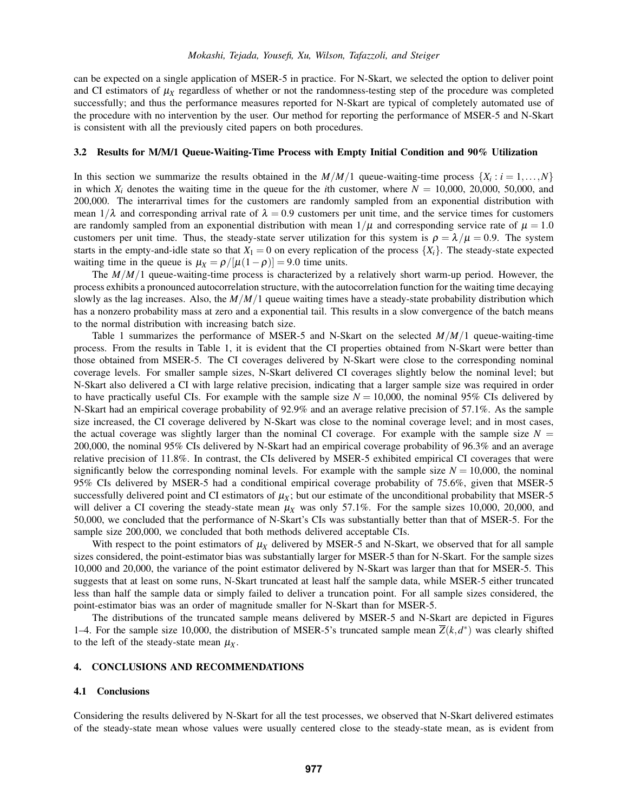can be expected on a single application of MSER-5 in practice. For N-Skart, we selected the option to deliver point and CI estimators of  $\mu_X$  regardless of whether or not the randomness-testing step of the procedure was completed successfully; and thus the performance measures reported for N-Skart are typical of completely automated use of the procedure with no intervention by the user. Our method for reporting the performance of MSER-5 and N-Skart is consistent with all the previously cited papers on both procedures.

## 3.2 Results for M/M/1 Queue-Waiting-Time Process with Empty Initial Condition and 90% Utilization

In this section we summarize the results obtained in the  $M/M/1$  queue-waiting-time process  $\{X_i : i = 1, \ldots, N\}$ in which  $X_i$  denotes the waiting time in the queue for the *i*th customer, where  $N = 10,000, 20,000, 50,000$ , and 200,000. The interarrival times for the customers are randomly sampled from an exponential distribution with mean  $1/\lambda$  and corresponding arrival rate of  $\lambda = 0.9$  customers per unit time, and the service times for customers are randomly sampled from an exponential distribution with mean  $1/\mu$  and corresponding service rate of  $\mu = 1.0$ customers per unit time. Thus, the steady-state server utilization for this system is  $\rho = \lambda/\mu = 0.9$ . The system starts in the empty-and-idle state so that  $X_1 = 0$  on every replication of the process  $\{X_i\}$ . The steady-state expected waiting time in the queue is  $\mu_X = \frac{\rho}{\mu(1-\rho)} = 9.0$  time units.

The *M*/*M*/1 queue-waiting-time process is characterized by a relatively short warm-up period. However, the process exhibits a pronounced autocorrelation structure, with the autocorrelation function for the waiting time decaying slowly as the lag increases. Also, the *M*/*M*/1 queue waiting times have a steady-state probability distribution which has a nonzero probability mass at zero and a exponential tail. This results in a slow convergence of the batch means to the normal distribution with increasing batch size.

Table 1 summarizes the performance of MSER-5 and N-Skart on the selected *M*/*M*/1 queue-waiting-time process. From the results in Table 1, it is evident that the CI properties obtained from N-Skart were better than those obtained from MSER-5. The CI coverages delivered by N-Skart were close to the corresponding nominal coverage levels. For smaller sample sizes, N-Skart delivered CI coverages slightly below the nominal level; but N-Skart also delivered a CI with large relative precision, indicating that a larger sample size was required in order to have practically useful CIs. For example with the sample size  $N = 10,000$ , the nominal 95% CIs delivered by N-Skart had an empirical coverage probability of 92.9% and an average relative precision of 57.1%. As the sample size increased, the CI coverage delivered by N-Skart was close to the nominal coverage level; and in most cases, the actual coverage was slightly larger than the nominal CI coverage. For example with the sample size  $N =$ 200,000, the nominal 95% CIs delivered by N-Skart had an empirical coverage probability of 96.3% and an average relative precision of 11.8%. In contrast, the CIs delivered by MSER-5 exhibited empirical CI coverages that were significantly below the corresponding nominal levels. For example with the sample size  $N = 10,000$ , the nominal 95% CIs delivered by MSER-5 had a conditional empirical coverage probability of 75.6%, given that MSER-5 successfully delivered point and CI estimators of  $\mu_X$ ; but our estimate of the unconditional probability that MSER-5 will deliver a CI covering the steady-state mean  $\mu_X$  was only 57.1%. For the sample sizes 10,000, 20,000, and 50,000, we concluded that the performance of N-Skart's CIs was substantially better than that of MSER-5. For the sample size 200,000, we concluded that both methods delivered acceptable CIs.

With respect to the point estimators of  $\mu_X$  delivered by MSER-5 and N-Skart, we observed that for all sample sizes considered, the point-estimator bias was substantially larger for MSER-5 than for N-Skart. For the sample sizes 10,000 and 20,000, the variance of the point estimator delivered by N-Skart was larger than that for MSER-5. This suggests that at least on some runs, N-Skart truncated at least half the sample data, while MSER-5 either truncated less than half the sample data or simply failed to deliver a truncation point. For all sample sizes considered, the point-estimator bias was an order of magnitude smaller for N-Skart than for MSER-5.

The distributions of the truncated sample means delivered by MSER-5 and N-Skart are depicted in Figures 1–4. For the sample size 10,000, the distribution of MSER-5's truncated sample mean  $\overline{Z}(k, d^*)$  was clearly shifted to the left of the steady-state mean  $\mu_X$ .

## 4. CONCLUSIONS AND RECOMMENDATIONS

#### 4.1 Conclusions

Considering the results delivered by N-Skart for all the test processes, we observed that N-Skart delivered estimates of the steady-state mean whose values were usually centered close to the steady-state mean, as is evident from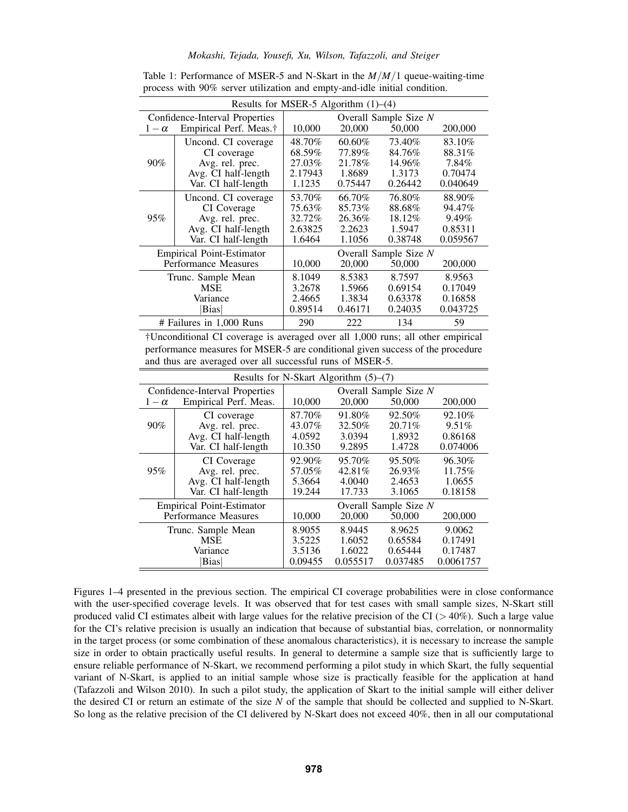## *Mokashi, Tejada, Yousefi, Xu, Wilson, Tafazzoli, and Steiger*

| Results for MSER-5 Algorithm $(1)$ – $(4)$ |                                    |                       |         |         |          |  |  |  |  |
|--------------------------------------------|------------------------------------|-----------------------|---------|---------|----------|--|--|--|--|
| Confidence-Interval Properties             |                                    | Overall Sample Size N |         |         |          |  |  |  |  |
| $1-\alpha$                                 | Empirical Perf. Meas. <sup>†</sup> | 10,000                | 20,000  | 50,000  | 200,000  |  |  |  |  |
| $90\%$                                     | Uncond. CI coverage                | 48.70%                | 60.60%  | 73.40%  | 83.10%   |  |  |  |  |
|                                            | CI coverage                        | 68.59%                | 77.89%  | 84.76%  | 88.31%   |  |  |  |  |
|                                            | Avg. rel. prec.                    | 27.03%                | 21.78%  | 14.96%  | 7.84%    |  |  |  |  |
|                                            | Avg. CI half-length                | 2.17943               | 1.8689  | 1.3173  | 0.70474  |  |  |  |  |
|                                            | Var. CI half-length                | 1.1235                | 0.75447 | 0.26442 | 0.040649 |  |  |  |  |
| 95%                                        | Uncond. CI coverage                | 53.70%                | 66.70%  | 76.80%  | 88.90%   |  |  |  |  |
|                                            | CI Coverage                        | 75.63%                | 85.73%  | 88.68%  | 94.47%   |  |  |  |  |
|                                            | Avg. rel. prec.                    | 32.72%                | 26.36%  | 18.12\% | 9.49%    |  |  |  |  |
|                                            | Avg. CI half-length                | 2.63825               | 2.2623  | 1.5947  | 0.85311  |  |  |  |  |
|                                            | Var. CI half-length                | 1.6464                | 1.1056  | 0.38748 | 0.059567 |  |  |  |  |
| <b>Empirical Point-Estimator</b>           |                                    | Overall Sample Size N |         |         |          |  |  |  |  |
| Performance Measures                       |                                    | 10,000                | 20,000  | 50,000  | 200,000  |  |  |  |  |
| Trunc. Sample Mean                         |                                    | 8.1049                | 8.5383  | 8.7597  | 8.9563   |  |  |  |  |
| <b>MSE</b>                                 |                                    | 3.2678                | 1.5966  | 0.69154 | 0.17049  |  |  |  |  |
| Variance                                   |                                    | 2.4665                | 1.3834  | 0.63378 | 0.16858  |  |  |  |  |
| Bias                                       |                                    | 0.89514               | 0.46171 | 0.24035 | 0.043725 |  |  |  |  |
| # Failures in 1,000 Runs                   |                                    | 290                   | 222     | 134     | 59       |  |  |  |  |

Table 1: Performance of MSER-5 and N-Skart in the *M*/*M*/1 queue-waiting-time process with 90% server utilization and empty-and-idle initial condition.

†Unconditional CI coverage is averaged over all 1,000 runs; all other empirical performance measures for MSER-5 are conditional given success of the procedure and thus are averaged over all successful runs of MSER-5.

| Results for N-Skart Algorithm $(5)$ – $(7)$ |                       |                       |          |           |           |  |  |  |
|---------------------------------------------|-----------------------|-----------------------|----------|-----------|-----------|--|--|--|
| Confidence-Interval Properties              |                       | Overall Sample Size N |          |           |           |  |  |  |
| $1-\alpha$                                  | Empirical Perf. Meas. | 10,000                | 20,000   | 50,000    | 200,000   |  |  |  |
|                                             | CI coverage           | 87.70%                | 91.80%   | 92.50%    | 92.10\%   |  |  |  |
| $90\%$                                      | Avg. rel. prec.       | 43.07%                | 32.50%   | $20.71\%$ | 9.51%     |  |  |  |
|                                             | Avg. CI half-length   | 4.0592                | 3.0394   | 1.8932    | 0.86168   |  |  |  |
|                                             | Var. CI half-length   | 10.350                | 9.2895   | 1.4728    | 0.074006  |  |  |  |
| 95%                                         | CI Coverage           | 92.90%                | 95.70%   | 95.50%    | 96.30%    |  |  |  |
|                                             | Avg. rel. prec.       | 57.05%                | 42.81%   | 26.93%    | 11.75%    |  |  |  |
|                                             | Avg. CI half-length   | 5.3664                | 4.0040   | 2.4653    | 1.0655    |  |  |  |
|                                             | Var. CI half-length   | 19.244                | 17.733   | 3.1065    | 0.18158   |  |  |  |
| <b>Empirical Point-Estimator</b>            |                       | Overall Sample Size N |          |           |           |  |  |  |
| Performance Measures                        |                       | 10,000                | 20,000   | 50,000    | 200,000   |  |  |  |
| Trunc. Sample Mean                          |                       | 8.9055                | 8.9445   | 8.9625    | 9.0062    |  |  |  |
| <b>MSE</b>                                  |                       | 3.5225                | 1.6052   | 0.65584   | 0.17491   |  |  |  |
| Variance                                    |                       | 3.5136                | 1.6022   | 0.65444   | 0.17487   |  |  |  |
| <b>Bias</b>                                 |                       | 0.09455               | 0.055517 | 0.037485  | 0.0061757 |  |  |  |

Figures 1–4 presented in the previous section. The empirical CI coverage probabilities were in close conformance with the user-specified coverage levels. It was observed that for test cases with small sample sizes, N-Skart still produced valid CI estimates albeit with large values for the relative precision of the CI ( $>40\%$ ). Such a large value for the CI's relative precision is usually an indication that because of substantial bias, correlation, or nonnormality in the target process (or some combination of these anomalous characteristics), it is necessary to increase the sample size in order to obtain practically useful results. In general to determine a sample size that is sufficiently large to ensure reliable performance of N-Skart, we recommend performing a pilot study in which Skart, the fully sequential variant of N-Skart, is applied to an initial sample whose size is practically feasible for the application at hand (Tafazzoli and Wilson 2010). In such a pilot study, the application of Skart to the initial sample will either deliver the desired CI or return an estimate of the size *N* of the sample that should be collected and supplied to N-Skart. So long as the relative precision of the CI delivered by N-Skart does not exceed 40%, then in all our computational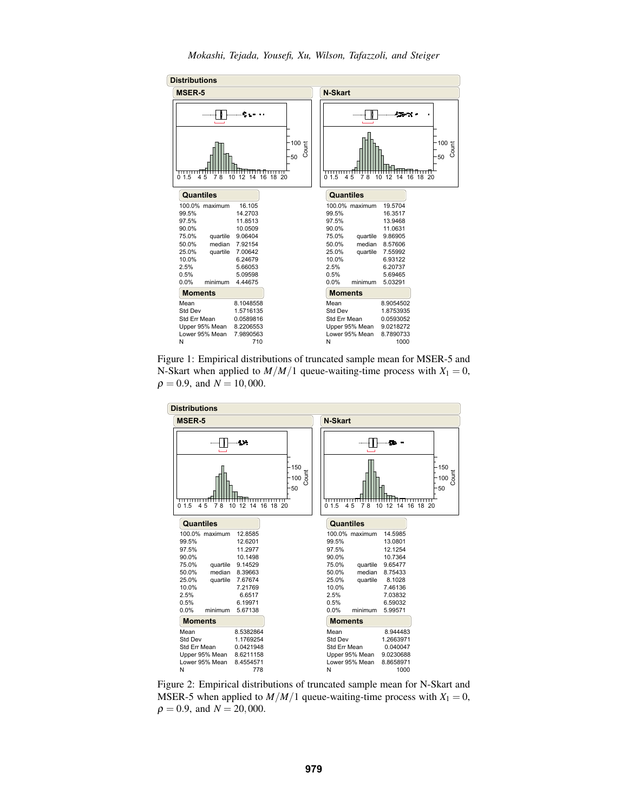

Figure 1: Empirical distributions of truncated sample mean for MSER-5 and N-Skart when applied to  $M/M/1$  queue-waiting-time process with  $X_1 = 0$ ,  $\rho = 0.9$ , and  $N = 10,000$ .



Figure 2: Empirical distributions of truncated sample mean for N-Skart and MSER-5 when applied to  $M/M/1$  queue-waiting-time process with  $X_1 = 0$ ,  $\rho = 0.9$ , and  $N = 20,000$ .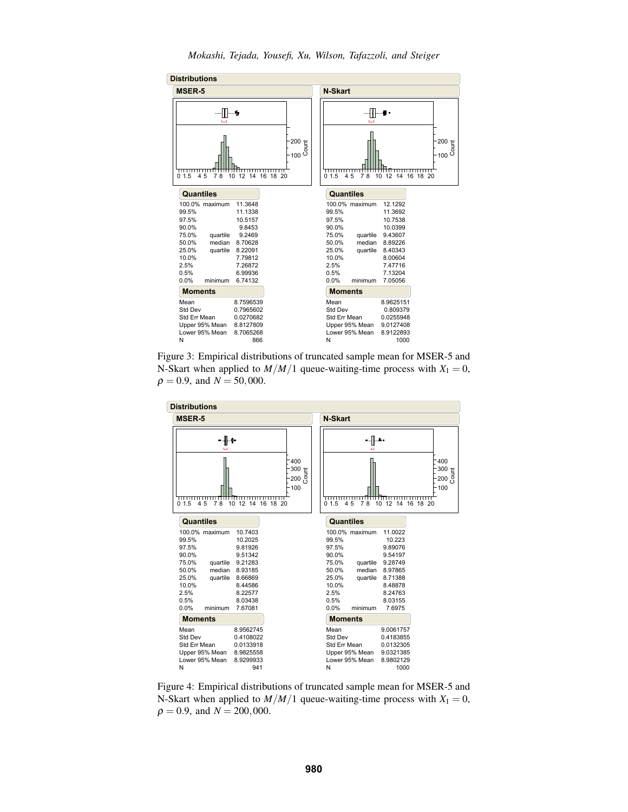

*Mokashi, Tejada, Yousefi, Xu, Wilson, Tafazzoli, and Steiger*

Figure 3: Empirical distributions of truncated sample mean for MSER-5 and N-Skart when applied to  $M/M/1$  queue-waiting-time process with  $X_1 = 0$ ,  $\rho = 0.9$ , and  $N = 50,000$ .



Figure 4: Empirical distributions of truncated sample mean for MSER-5 and N-Skart when applied to  $M/M/1$  queue-waiting-time process with  $X_1 = 0$ ,  $\rho = 0.9$ , and  $N = 200,000$ .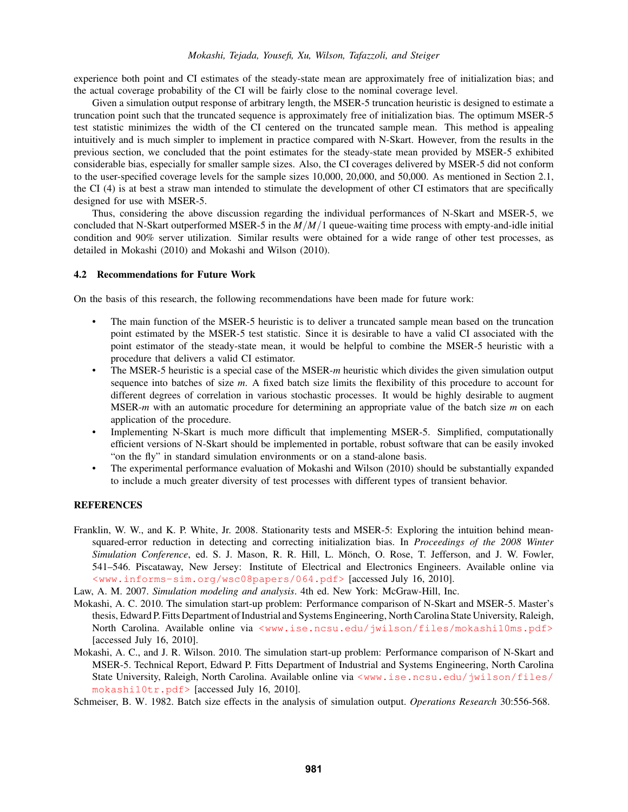experience both point and CI estimates of the steady-state mean are approximately free of initialization bias; and the actual coverage probability of the CI will be fairly close to the nominal coverage level.

Given a simulation output response of arbitrary length, the MSER-5 truncation heuristic is designed to estimate a truncation point such that the truncated sequence is approximately free of initialization bias. The optimum MSER-5 test statistic minimizes the width of the CI centered on the truncated sample mean. This method is appealing intuitively and is much simpler to implement in practice compared with N-Skart. However, from the results in the previous section, we concluded that the point estimates for the steady-state mean provided by MSER-5 exhibited considerable bias, especially for smaller sample sizes. Also, the CI coverages delivered by MSER-5 did not conform to the user-specified coverage levels for the sample sizes 10,000, 20,000, and 50,000. As mentioned in Section 2.1, the CI (4) is at best a straw man intended to stimulate the development of other CI estimators that are specifically designed for use with MSER-5.

Thus, considering the above discussion regarding the individual performances of N-Skart and MSER-5, we concluded that N-Skart outperformed MSER-5 in the *M*/*M*/1 queue-waiting time process with empty-and-idle initial condition and 90% server utilization. Similar results were obtained for a wide range of other test processes, as detailed in Mokashi (2010) and Mokashi and Wilson (2010).

## 4.2 Recommendations for Future Work

On the basis of this research, the following recommendations have been made for future work:

- The main function of the MSER-5 heuristic is to deliver a truncated sample mean based on the truncation point estimated by the MSER-5 test statistic. Since it is desirable to have a valid CI associated with the point estimator of the steady-state mean, it would be helpful to combine the MSER-5 heuristic with a procedure that delivers a valid CI estimator.
- The MSER-5 heuristic is a special case of the MSER-*m* heuristic which divides the given simulation output sequence into batches of size *m*. A fixed batch size limits the flexibility of this procedure to account for different degrees of correlation in various stochastic processes. It would be highly desirable to augment MSER-*m* with an automatic procedure for determining an appropriate value of the batch size *m* on each application of the procedure.
- Implementing N-Skart is much more difficult that implementing MSER-5. Simplified, computationally efficient versions of N-Skart should be implemented in portable, robust software that can be easily invoked "on the fly" in standard simulation environments or on a stand-alone basis.
- The experimental performance evaluation of Mokashi and Wilson (2010) should be substantially expanded to include a much greater diversity of test processes with different types of transient behavior.

## REFERENCES

- Franklin, W. W., and K. P. White, Jr. 2008. Stationarity tests and MSER-5: Exploring the intuition behind meansquared-error reduction in detecting and correcting initialization bias. In *Proceedings of the 2008 Winter Simulation Conference*, ed. S. J. Mason, R. R. Hill, L. Monch, O. Rose, T. Jefferson, and J. W. Fowler, ¨ 541–546. Piscataway, New Jersey: Institute of Electrical and Electronics Engineers. Available online via <www.informs-sim.org/wsc08papers/064.pdf> [accessed July 16, 2010].
- Law, A. M. 2007. *Simulation modeling and analysis*. 4th ed. New York: McGraw-Hill, Inc.
- Mokashi, A. C. 2010. The simulation start-up problem: Performance comparison of N-Skart and MSER-5. Master's thesis, Edward P. Fitts Department of Industrial and Systems Engineering, North Carolina State University, Raleigh, North Carolina. Available online via <www.ise.ncsu.edu/jwilson/files/mokashi10ms.pdf> [accessed July 16, 2010].
- Mokashi, A. C., and J. R. Wilson. 2010. The simulation start-up problem: Performance comparison of N-Skart and MSER-5. Technical Report, Edward P. Fitts Department of Industrial and Systems Engineering, North Carolina State University, Raleigh, North Carolina. Available online via <www.ise.ncsu.edu/jwilson/files/ mokashi10tr.pdf> [accessed July 16, 2010].
- Schmeiser, B. W. 1982. Batch size effects in the analysis of simulation output. *Operations Research* 30:556-568.